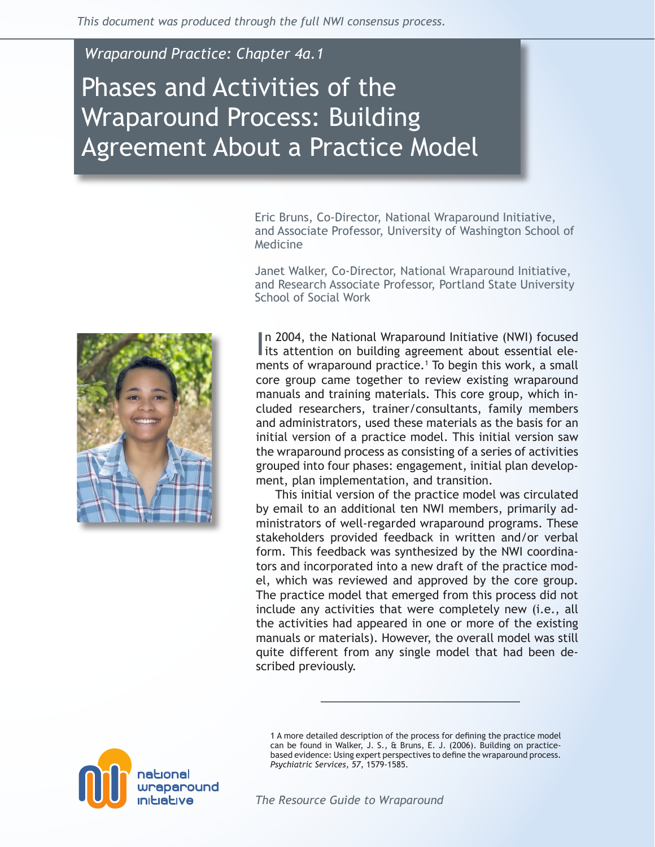*Wraparound Practice: Chapter 4a.1*

# Phases and Activities of the Wraparound Process: Building Agreement About a Practice Model

Eric Bruns, Co-Director, National Wraparound Initiative, and Associate Professor, University of Washington School of Medicine

Janet Walker, Co-Director, National Wraparound Initiative, and Research Associate Professor, Portland State University School of Social Work



In 2004, the National Wraparound Initiative (NWI) focused<br>its attention on building agreement about essential elen 2004, the National Wraparound Initiative (NWI) focused ments of wraparound practice.<sup>1</sup> To begin this work, a small core group came together to review existing wraparound manuals and training materials. This core group, which included researchers, trainer/consultants, family members and administrators, used these materials as the basis for an initial version of a practice model. This initial version saw the wraparound process as consisting of a series of activities grouped into four phases: engagement, initial plan development, plan implementation, and transition.

This initial version of the practice model was circulated by email to an additional ten NWI members, primarily administrators of well-regarded wraparound programs. These stakeholders provided feedback in written and/or verbal form. This feedback was synthesized by the NWI coordinators and incorporated into a new draft of the practice model, which was reviewed and approved by the core group. The practice model that emerged from this process did not include any activities that were completely new (i.e., all the activities had appeared in one or more of the existing manuals or materials). However, the overall model was still quite different from any single model that had been described previously.



1 A more detailed description of the process for defining the practice model can be found in Walker, J. S., & Bruns, E. J. (2006). Building on practicebased evidence: Using expert perspectives to define the wraparound process. *Psychiatric Services, 57,* 1579-1585.

*The Resource Guide to Wraparound*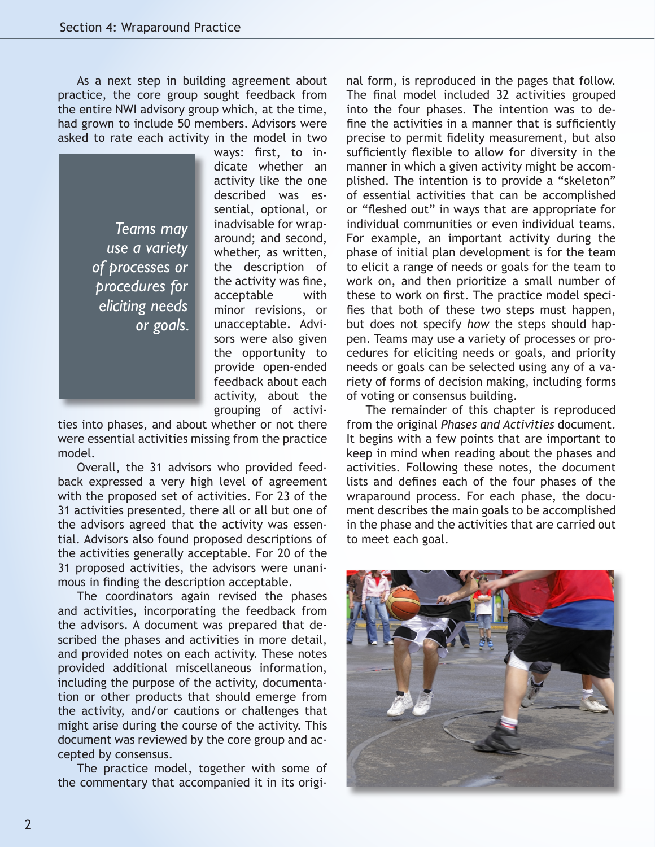As a next step in building agreement about practice, the core group sought feedback from the entire NWI advisory group which, at the time, had grown to include 50 members. Advisors were asked to rate each activity in the model in two

*Teams may use a variety of processes or procedures for eliciting needs or goals.* ways: first, to indicate whether an activity like the one described was essential, optional, or inadvisable for wraparound; and second, whether, as written, the description of the activity was fine, acceptable with minor revisions, or unacceptable. Advisors were also given the opportunity to provide open-ended feedback about each activity, about the grouping of activi-

ties into phases, and about whether or not there were essential activities missing from the practice model.

Overall, the 31 advisors who provided feedback expressed a very high level of agreement with the proposed set of activities. For 23 of the 31 activities presented, there all or all but one of the advisors agreed that the activity was essential. Advisors also found proposed descriptions of the activities generally acceptable. For 20 of the 31 proposed activities, the advisors were unanimous in finding the description acceptable.

The coordinators again revised the phases and activities, incorporating the feedback from the advisors. A document was prepared that described the phases and activities in more detail, and provided notes on each activity. These notes provided additional miscellaneous information, including the purpose of the activity, documentation or other products that should emerge from the activity, and/or cautions or challenges that might arise during the course of the activity. This document was reviewed by the core group and accepted by consensus.

The practice model, together with some of the commentary that accompanied it in its original form, is reproduced in the pages that follow. The final model included 32 activities grouped into the four phases. The intention was to define the activities in a manner that is sufficiently precise to permit fidelity measurement, but also sufficiently flexible to allow for diversity in the manner in which a given activity might be accomplished. The intention is to provide a "skeleton" of essential activities that can be accomplished or "fleshed out" in ways that are appropriate for individual communities or even individual teams. For example, an important activity during the phase of initial plan development is for the team to elicit a range of needs or goals for the team to work on, and then prioritize a small number of these to work on first. The practice model specifies that both of these two steps must happen, but does not specify *how* the steps should happen. Teams may use a variety of processes or procedures for eliciting needs or goals, and priority needs or goals can be selected using any of a variety of forms of decision making, including forms of voting or consensus building.

The remainder of this chapter is reproduced from the original *Phases and Activities* document. It begins with a few points that are important to keep in mind when reading about the phases and activities. Following these notes, the document lists and defines each of the four phases of the wraparound process. For each phase, the document describes the main goals to be accomplished in the phase and the activities that are carried out to meet each goal.

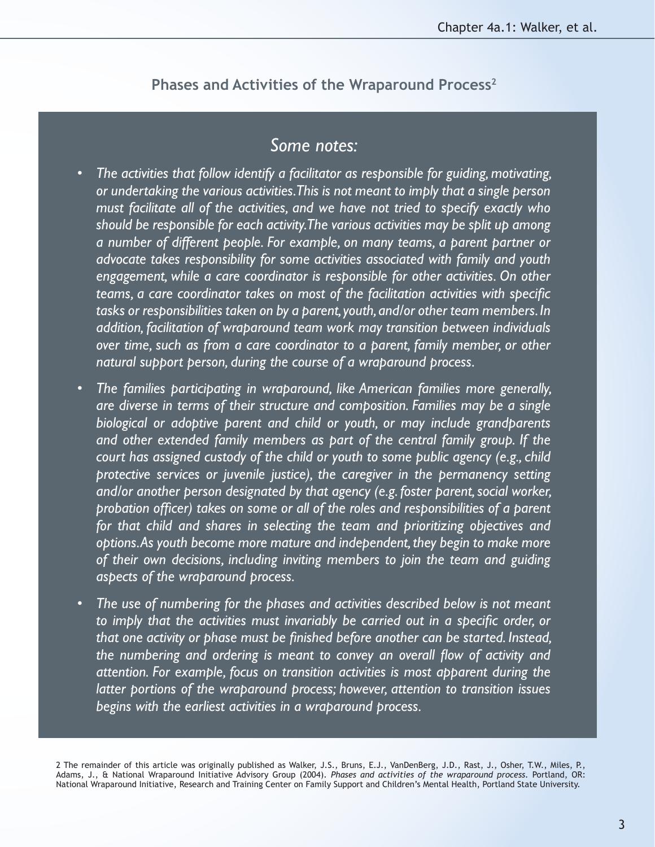### *Some notes:*

- The activities that follow identify a facilitator as responsible for guiding, motivating, *or undertaking the various activities. This is not meant to imply that a single person must facilitate all of the activities, and we have not tried to specify exactly who should be responsible for each activity. The various activities may be split up among a number of different people. For example, on many teams, a parent partner or advocate takes responsibility for some activities associated with family and youth engagement, while a care coordinator is responsible for other activities. On other teams, a care coordinator takes on most of the facilitation activities with specific tasks or responsibilities taken on by a parent, youth, and/or other team members. In addition, facilitation of wraparound team work may transition between individuals over time, such as from a care coordinator to a parent, family member, or other natural support person, during the course of a wraparound process.*
- The families participating in wraparound, like American families more generally, *are diverse in terms of their structure and composition. Families may be a single biological or adoptive parent and child or youth, or may include grandparents and other extended family members as part of the central family group. If the court has assigned custody of the child or youth to some public agency (e.g., child protective services or juvenile justice), the caregiver in the permanency setting and/or another person designated by that agency (e.g. foster parent, social worker, probation officer) takes on some or all of the roles and responsibilities of a parent for that child and shares in selecting the team and prioritizing objectives and options. As youth become more mature and independent, they begin to make more of their own decisions, including inviting members to join the team and guiding aspects of the wraparound process.*
- The use of numbering for the phases and activities described below is not meant *to imply that the activities must invariably be carried out in a specific order, or that one activity or phase must be finished before another can be started. Instead, the numbering and ordering is meant to convey an overall flow of activity and attention. For example, focus on transition activities is most apparent during the latter portions of the wraparound process; however, attention to transition issues begins with the earliest activities in a wraparound process.*

2 The remainder of this article was originally published as Walker, J.S., Bruns, E.J., VanDenBerg, J.D., Rast, J., Osher, T.W., Miles, P., Adams, J., & National Wraparound Initiative Advisory Group (2004). *Phases and activities of the wraparound process.* Portland, OR: National Wraparound Initiative, Research and Training Center on Family Support and Children's Mental Health, Portland State University.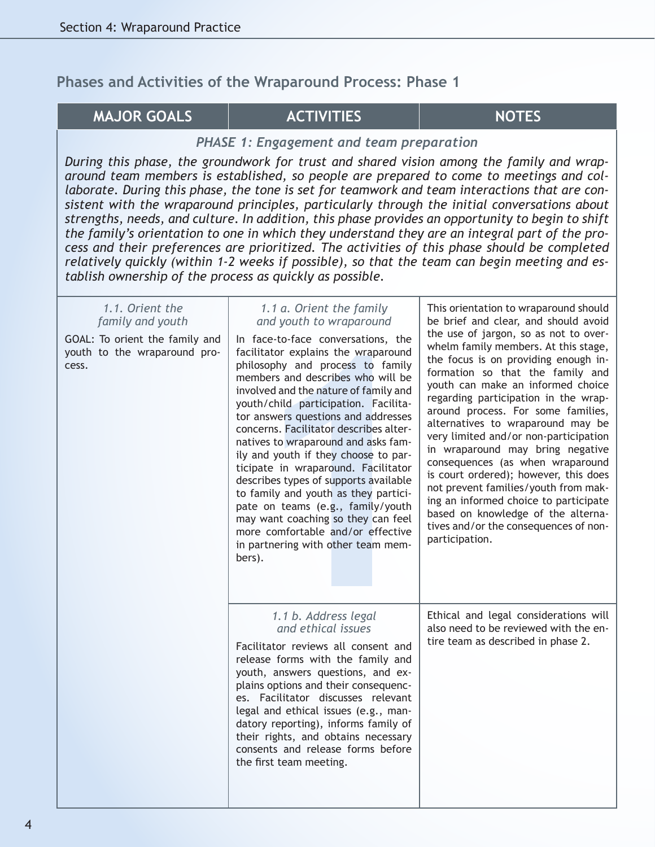#### **MAJOR GOALS ACTIVITIES NOTES**

#### *PHASE 1: Engagement and team preparation*

*During this phase, the groundwork for trust and shared vision among the family and wraparound team members is established, so people are prepared to come to meetings and collaborate. During this phase, the tone is set for teamwork and team interactions that are consistent with the wraparound principles, particularly through the initial conversations about strengths, needs, and culture. In addition, this phase provides an opportunity to begin to shift the family's orientation to one in which they understand they are an integral part of the process and their preferences are prioritized. The activities of this phase should be completed relatively quickly (within 1-2 weeks if possible), so that the team can begin meeting and establish ownership of the process as quickly as possible.*

| 1.1. Orient the<br>family and youth<br>GOAL: To orient the family and<br>youth to the wraparound pro-<br>cess. | 1.1 a. Orient the family<br>and youth to wraparound<br>In face-to-face conversations, the<br>facilitator explains the wraparound<br>philosophy and process to family<br>members and describes who will be<br>involved and the nature of family and<br>youth/child participation. Facilita-<br>tor answers questions and addresses<br>concerns. Facilitator describes alter-<br>natives to wraparound and asks fam-<br>ily and youth if they choose to par-<br>ticipate in wraparound. Facilitator<br>describes types of supports available<br>to family and youth as they partici-<br>pate on teams (e.g., family/youth<br>may want coaching so they can feel<br>more comfortable and/or effective<br>in partnering with other team mem-<br>bers). | This orientation to wraparound should<br>be brief and clear, and should avoid<br>the use of jargon, so as not to over-<br>whelm family members. At this stage,<br>the focus is on providing enough in-<br>formation so that the family and<br>youth can make an informed choice<br>regarding participation in the wrap-<br>around process. For some families,<br>alternatives to wraparound may be<br>very limited and/or non-participation<br>in wraparound may bring negative<br>consequences (as when wraparound<br>is court ordered); however, this does<br>not prevent families/youth from mak-<br>ing an informed choice to participate<br>based on knowledge of the alterna-<br>tives and/or the consequences of non-<br>participation. |
|----------------------------------------------------------------------------------------------------------------|----------------------------------------------------------------------------------------------------------------------------------------------------------------------------------------------------------------------------------------------------------------------------------------------------------------------------------------------------------------------------------------------------------------------------------------------------------------------------------------------------------------------------------------------------------------------------------------------------------------------------------------------------------------------------------------------------------------------------------------------------|------------------------------------------------------------------------------------------------------------------------------------------------------------------------------------------------------------------------------------------------------------------------------------------------------------------------------------------------------------------------------------------------------------------------------------------------------------------------------------------------------------------------------------------------------------------------------------------------------------------------------------------------------------------------------------------------------------------------------------------------|
|                                                                                                                | 1.1 b. Address legal<br>and ethical issues<br>Facilitator reviews all consent and<br>release forms with the family and<br>youth, answers questions, and ex-<br>plains options and their consequenc-<br>es. Facilitator discusses relevant<br>legal and ethical issues (e.g., man-<br>datory reporting), informs family of<br>their rights, and obtains necessary<br>consents and release forms before<br>the first team meeting.                                                                                                                                                                                                                                                                                                                   | Ethical and legal considerations will<br>also need to be reviewed with the en-<br>tire team as described in phase 2.                                                                                                                                                                                                                                                                                                                                                                                                                                                                                                                                                                                                                           |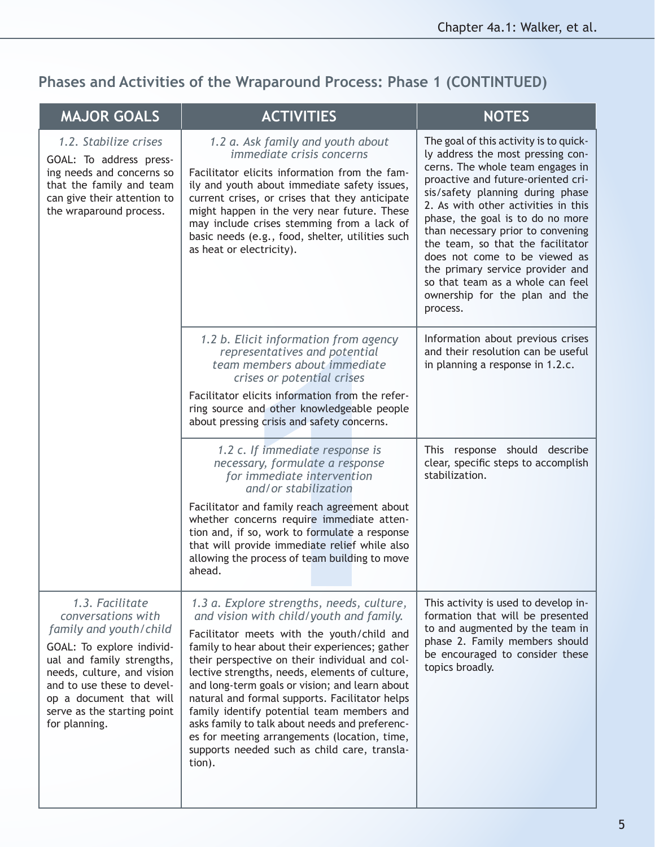## **Phases and Activities of the Wraparound Process: Phase 1 (CONTINTUED)**

| <b>MAJOR GOALS</b>                                                                                                                                                                                                                                               | <b>ACTIVITIES</b>                                                                                                                                                                                                                                                                                                                                                                                                                                                                                                                                                                                      | <b>NOTES</b>                                                                                                                                                                                                                                                                                                                                                                                                                                                                                          |
|------------------------------------------------------------------------------------------------------------------------------------------------------------------------------------------------------------------------------------------------------------------|--------------------------------------------------------------------------------------------------------------------------------------------------------------------------------------------------------------------------------------------------------------------------------------------------------------------------------------------------------------------------------------------------------------------------------------------------------------------------------------------------------------------------------------------------------------------------------------------------------|-------------------------------------------------------------------------------------------------------------------------------------------------------------------------------------------------------------------------------------------------------------------------------------------------------------------------------------------------------------------------------------------------------------------------------------------------------------------------------------------------------|
| 1.2. Stabilize crises<br>GOAL: To address press-<br>ing needs and concerns so<br>that the family and team<br>can give their attention to<br>the wraparound process.                                                                                              | 1.2 a. Ask family and youth about<br><i>immediate crisis concerns</i><br>Facilitator elicits information from the fam-<br>ily and youth about immediate safety issues,<br>current crises, or crises that they anticipate<br>might happen in the very near future. These<br>may include crises stemming from a lack of<br>basic needs (e.g., food, shelter, utilities such<br>as heat or electricity).                                                                                                                                                                                                  | The goal of this activity is to quick-<br>ly address the most pressing con-<br>cerns. The whole team engages in<br>proactive and future-oriented cri-<br>sis/safety planning during phase<br>2. As with other activities in this<br>phase, the goal is to do no more<br>than necessary prior to convening<br>the team, so that the facilitator<br>does not come to be viewed as<br>the primary service provider and<br>so that team as a whole can feel<br>ownership for the plan and the<br>process. |
|                                                                                                                                                                                                                                                                  | 1.2 b. Elicit information from agency<br>representatives and potential<br>team members about immediate<br>crises or potential crises<br>Facilitator elicits information from the refer-<br>ring source and other knowledgeable people<br>about pressing crisis and safety concerns.                                                                                                                                                                                                                                                                                                                    | Information about previous crises<br>and their resolution can be useful<br>in planning a response in 1.2.c.                                                                                                                                                                                                                                                                                                                                                                                           |
|                                                                                                                                                                                                                                                                  | 1.2 c. If immediate response is<br>necessary, formulate a response<br>for immediate intervention<br>and/or stabilization<br>Facilitator and family reach agreement about<br>whether concerns require immediate atten-<br>tion and, if so, work to formulate a response<br>that will provide immediate relief while also<br>allowing the process of team building to move<br>ahead.                                                                                                                                                                                                                     | This response should describe<br>clear, specific steps to accomplish<br>stabilization.                                                                                                                                                                                                                                                                                                                                                                                                                |
| 1.3. Facilitate<br>conversations with<br>family and youth/child<br>GOAL: To explore individ-<br>ual and family strengths,<br>needs, culture, and vision<br>and to use these to devel-<br>op a document that will<br>serve as the starting point<br>for planning. | 1.3 a. Explore strengths, needs, culture,<br>and vision with child/youth and family.<br>Facilitator meets with the youth/child and<br>family to hear about their experiences; gather<br>their perspective on their individual and col-<br>lective strengths, needs, elements of culture,<br>and long-term goals or vision; and learn about<br>natural and formal supports. Facilitator helps<br>family identify potential team members and<br>asks family to talk about needs and preferenc-<br>es for meeting arrangements (location, time,<br>supports needed such as child care, transla-<br>tion). | This activity is used to develop in-<br>formation that will be presented<br>to and augmented by the team in<br>phase 2. Family members should<br>be encouraged to consider these<br>topics broadly.                                                                                                                                                                                                                                                                                                   |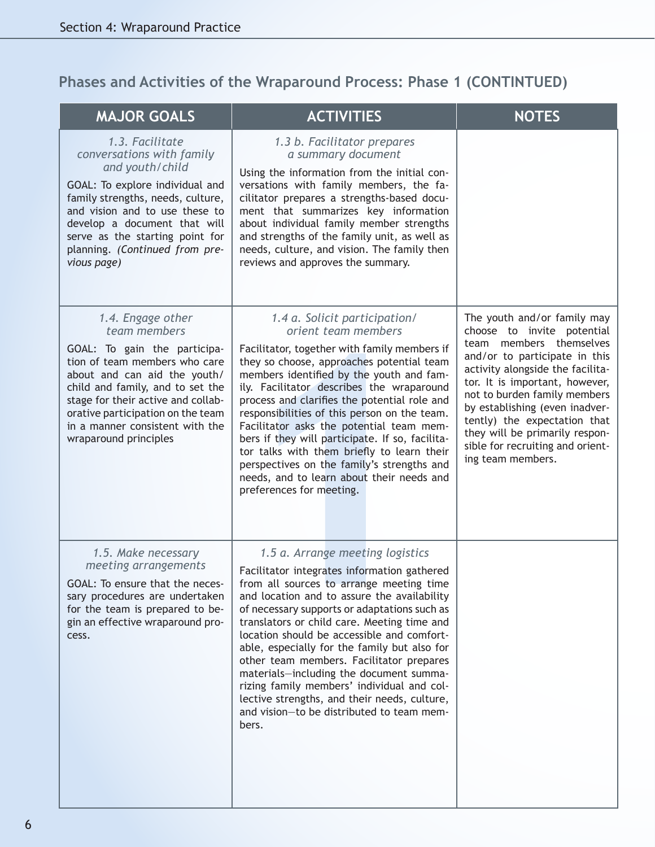## **Phases and Activities of the Wraparound Process: Phase 1 (CONTINTUED)**

| <b>MAJOR GOALS</b>                                                                                                                                                                                                                                                                                            | <b>ACTIVITIES</b>                                                                                                                                                                                                                                                                                                                                                                                                                                                                                                                                                                                                  | <b>NOTES</b>                                                                                                                                                                                                                                                                                                                                                                             |
|---------------------------------------------------------------------------------------------------------------------------------------------------------------------------------------------------------------------------------------------------------------------------------------------------------------|--------------------------------------------------------------------------------------------------------------------------------------------------------------------------------------------------------------------------------------------------------------------------------------------------------------------------------------------------------------------------------------------------------------------------------------------------------------------------------------------------------------------------------------------------------------------------------------------------------------------|------------------------------------------------------------------------------------------------------------------------------------------------------------------------------------------------------------------------------------------------------------------------------------------------------------------------------------------------------------------------------------------|
| 1.3. Facilitate<br>conversations with family<br>and youth/child<br>GOAL: To explore individual and<br>family strengths, needs, culture,<br>and vision and to use these to<br>develop a document that will<br>serve as the starting point for<br>planning. (Continued from pre-<br>vious page)                 | 1.3 b. Facilitator prepares<br>a summary document<br>Using the information from the initial con-<br>versations with family members, the fa-<br>cilitator prepares a strengths-based docu-<br>ment that summarizes key information<br>about individual family member strengths<br>and strengths of the family unit, as well as<br>needs, culture, and vision. The family then<br>reviews and approves the summary.                                                                                                                                                                                                  |                                                                                                                                                                                                                                                                                                                                                                                          |
| 1.4. Engage other<br>team members<br>GOAL: To gain the participa-<br>tion of team members who care<br>about and can aid the youth/<br>child and family, and to set the<br>stage for their active and collab-<br>orative participation on the team<br>in a manner consistent with the<br>wraparound principles | 1.4 a. Solicit participation/<br>orient team members<br>Facilitator, together with family members if<br>they so choose, approaches potential team<br>members identified by the youth and fam-<br>ily. Facilitator describes the wraparound<br>process and clarifies the potential role and<br>responsibilities of this person on the team.<br>Facilitator asks the potential team mem-<br>bers if they will participate. If so, facilita-<br>tor talks with them briefly to learn their<br>perspectives on the family's strengths and<br>needs, and to learn about their needs and<br>preferences for meeting.     | The youth and/or family may<br>choose to invite potential<br>team members themselves<br>and/or to participate in this<br>activity alongside the facilita-<br>tor. It is important, however,<br>not to burden family members<br>by establishing (even inadver-<br>tently) the expectation that<br>they will be primarily respon-<br>sible for recruiting and orient-<br>ing team members. |
| 1.5. Make necessary<br>meeting arrangements<br>GOAL: To ensure that the neces-<br>sary procedures are undertaken<br>for the team is prepared to be-<br>gin an effective wraparound pro-<br>cess.                                                                                                              | 1.5 a. Arrange meeting logistics<br>Facilitator integrates information gathered<br>from all sources to arrange meeting time<br>and location and to assure the availability<br>of necessary supports or adaptations such as<br>translators or child care. Meeting time and<br>location should be accessible and comfort-<br>able, especially for the family but also for<br>other team members. Facilitator prepares<br>materials-including the document summa-<br>rizing family members' individual and col-<br>lective strengths, and their needs, culture,<br>and vision-to be distributed to team mem-<br>bers. |                                                                                                                                                                                                                                                                                                                                                                                          |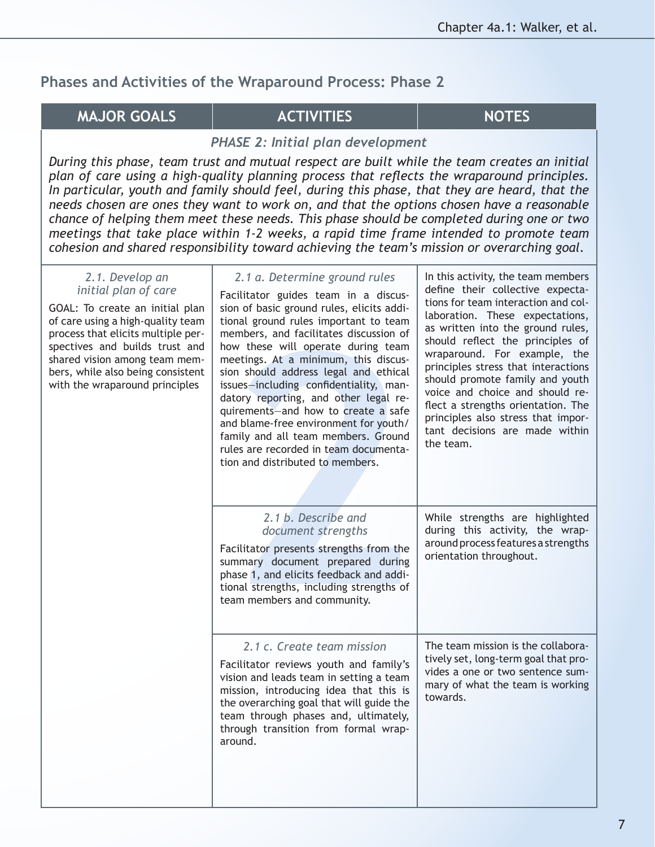### **MAJOR GOALS ACTIVITIES NOTES**

#### *PHASE 2: Initial plan development*

*During this phase, team trust and mutual respect are built while the team creates an initial plan of care using a high-quality planning process that reflects the wraparound principles. In particular, youth and family should feel, during this phase, that they are heard, that the needs chosen are ones they want to work on, and that the options chosen have a reasonable chance of helping them meet these needs. This phase should be completed during one or two meetings that take place within 1-2 weeks, a rapid time frame intended to promote team cohesion and shared responsibility toward achieving the team's mission or overarching goal.*

#### *2.1. Develop an initial plan of care*

GOAL: To create an initial plan of care using a high-quality team process that elicits multiple perspectives and builds trust and shared vision among team members, while also being consistent with the wraparound principles

| 2.1 a. Determine ground rules<br>Facilitator guides team in a discus-<br>sion of basic ground rules, elicits addi-<br>tional ground rules important to team<br>members, and facilitates discussion of<br>how these will operate during team<br>meetings. At a minimum, this discus-<br>sion should address legal and ethical<br>issues-including confidentiality, man-<br>datory reporting, and other legal re-<br>quirements-and how to create a safe<br>and blame-free environment for youth/<br>family and all team members. Ground<br>rules are recorded in team documenta-<br>tion and distributed to members. | In this activity, the team members<br>define their collective expecta-<br>tions for team interaction and col-<br>laboration. These expectations,<br>as written into the ground rules,<br>should reflect the principles of<br>wraparound. For example, the<br>principles stress that interactions<br>should promote family and youth<br>voice and choice and should re-<br>flect a strengths orientation. The<br>principles also stress that impor-<br>tant decisions are made within<br>the team. |  |
|---------------------------------------------------------------------------------------------------------------------------------------------------------------------------------------------------------------------------------------------------------------------------------------------------------------------------------------------------------------------------------------------------------------------------------------------------------------------------------------------------------------------------------------------------------------------------------------------------------------------|---------------------------------------------------------------------------------------------------------------------------------------------------------------------------------------------------------------------------------------------------------------------------------------------------------------------------------------------------------------------------------------------------------------------------------------------------------------------------------------------------|--|
| 2.1 b. Describe and<br>document strengths<br>Facilitator presents strengths from the<br>summary document prepared during<br>phase 1, and elicits feedback and addi-<br>tional strengths, including strengths of<br>team members and community.                                                                                                                                                                                                                                                                                                                                                                      | While strengths are highlighted<br>during this activity, the wrap-<br>around process features a strengths<br>orientation throughout.                                                                                                                                                                                                                                                                                                                                                              |  |
| 2.1 c. Create team mission<br>Facilitator reviews youth and family's<br>vision and leads team in setting a team<br>mission, introducing idea that this is<br>the overarching goal that will guide the<br>team through phases and, ultimately,<br>through transition from formal wrap-<br>around.                                                                                                                                                                                                                                                                                                                    | The team mission is the collabora-<br>tively set, long-term goal that pro-<br>vides a one or two sentence sum-<br>mary of what the team is working<br>towards.                                                                                                                                                                                                                                                                                                                                    |  |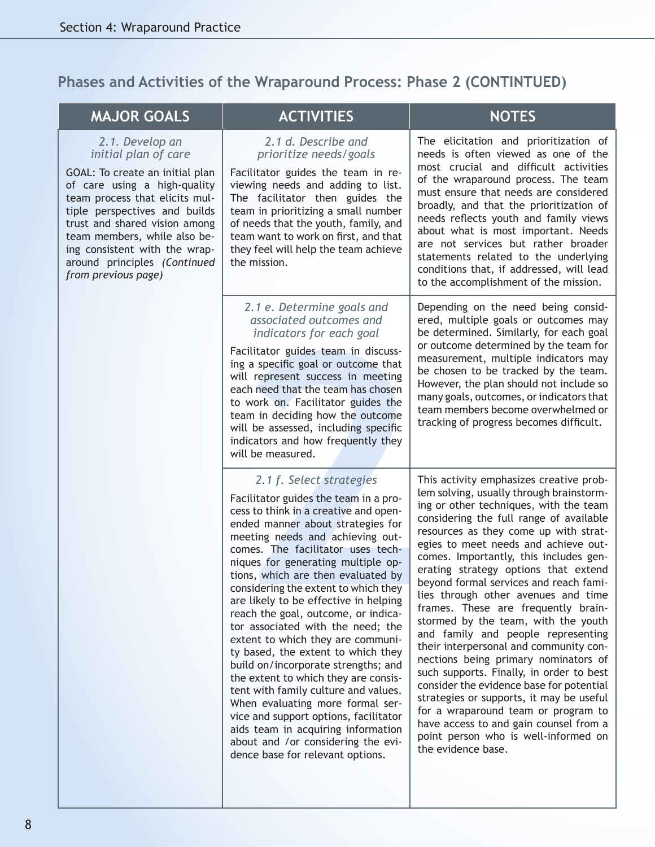**Phases and Activities of the Wraparound Process: Phase 2 (CONTINTUED)**

| <b>MAJOR GOALS</b>                                                                                                                                                                                                                                                                                                                     | <b>ACTIVITIES</b>                                                                                                                                                                                                                                                                                                                                                                                                                                                                                                                                                                                                                                                                                                                                                                                                                                                | <b>NOTES</b>                                                                                                                                                                                                                                                                                                                                                                                                                                                                                                                                                                                                                                                                                                                                                                                                                                                                                                          |
|----------------------------------------------------------------------------------------------------------------------------------------------------------------------------------------------------------------------------------------------------------------------------------------------------------------------------------------|------------------------------------------------------------------------------------------------------------------------------------------------------------------------------------------------------------------------------------------------------------------------------------------------------------------------------------------------------------------------------------------------------------------------------------------------------------------------------------------------------------------------------------------------------------------------------------------------------------------------------------------------------------------------------------------------------------------------------------------------------------------------------------------------------------------------------------------------------------------|-----------------------------------------------------------------------------------------------------------------------------------------------------------------------------------------------------------------------------------------------------------------------------------------------------------------------------------------------------------------------------------------------------------------------------------------------------------------------------------------------------------------------------------------------------------------------------------------------------------------------------------------------------------------------------------------------------------------------------------------------------------------------------------------------------------------------------------------------------------------------------------------------------------------------|
| 2.1. Develop an<br>initial plan of care<br>GOAL: To create an initial plan<br>of care using a high-quality<br>team process that elicits mul-<br>tiple perspectives and builds<br>trust and shared vision among<br>team members, while also be-<br>ing consistent with the wrap-<br>around principles (Continued<br>from previous page) | 2.1 d. Describe and<br>prioritize needs/goals<br>Facilitator guides the team in re-<br>viewing needs and adding to list.<br>The facilitator then guides the<br>team in prioritizing a small number<br>of needs that the youth, family, and<br>team want to work on first, and that<br>they feel will help the team achieve<br>the mission.                                                                                                                                                                                                                                                                                                                                                                                                                                                                                                                       | The elicitation and prioritization of<br>needs is often viewed as one of the<br>most crucial and difficult activities<br>of the wraparound process. The team<br>must ensure that needs are considered<br>broadly, and that the prioritization of<br>needs reflects youth and family views<br>about what is most important. Needs<br>are not services but rather broader<br>statements related to the underlying<br>conditions that, if addressed, will lead<br>to the accomplishment of the mission.                                                                                                                                                                                                                                                                                                                                                                                                                  |
|                                                                                                                                                                                                                                                                                                                                        | 2.1 e. Determine goals and<br>associated outcomes and<br>indicators for each goal<br>Facilitator guides team in discuss-<br>ing a specific goal or outcome that<br>will represent success in meeting<br>each need that the team has chosen<br>to work on. Facilitator guides the<br>team in deciding how the outcome<br>will be assessed, including specific<br>indicators and how frequently they<br>will be measured.                                                                                                                                                                                                                                                                                                                                                                                                                                          | Depending on the need being consid-<br>ered, multiple goals or outcomes may<br>be determined. Similarly, for each goal<br>or outcome determined by the team for<br>measurement, multiple indicators may<br>be chosen to be tracked by the team.<br>However, the plan should not include so<br>many goals, outcomes, or indicators that<br>team members become overwhelmed or<br>tracking of progress becomes difficult.                                                                                                                                                                                                                                                                                                                                                                                                                                                                                               |
|                                                                                                                                                                                                                                                                                                                                        | 2.1 f. Select strategies<br>Facilitator guides the team in a pro-<br>cess to think in a creative and open-<br>ended manner about strategies for<br>meeting needs and achieving out-<br>comes. The facilitator uses tech-<br>niques for generating multiple op-<br>tions, which are then evaluated by<br>considering the extent to which they<br>are likely to be effective in helping<br>reach the goal, outcome, or indica-<br>tor associated with the need; the<br>extent to which they are communi-<br>ty based, the extent to which they<br>build on/incorporate strengths; and<br>the extent to which they are consis-<br>tent with family culture and values.<br>When evaluating more formal ser-<br>vice and support options, facilitator<br>aids team in acquiring information<br>about and /or considering the evi-<br>dence base for relevant options. | This activity emphasizes creative prob-<br>lem solving, usually through brainstorm-<br>ing or other techniques, with the team<br>considering the full range of available<br>resources as they come up with strat-<br>egies to meet needs and achieve out-<br>comes. Importantly, this includes gen-<br>erating strategy options that extend<br>beyond formal services and reach fami-<br>lies through other avenues and time<br>frames. These are frequently brain-<br>stormed by the team, with the youth<br>and family and people representing<br>their interpersonal and community con-<br>nections being primary nominators of<br>such supports. Finally, in order to best<br>consider the evidence base for potential<br>strategies or supports, it may be useful<br>for a wraparound team or program to<br>have access to and gain counsel from a<br>point person who is well-informed on<br>the evidence base. |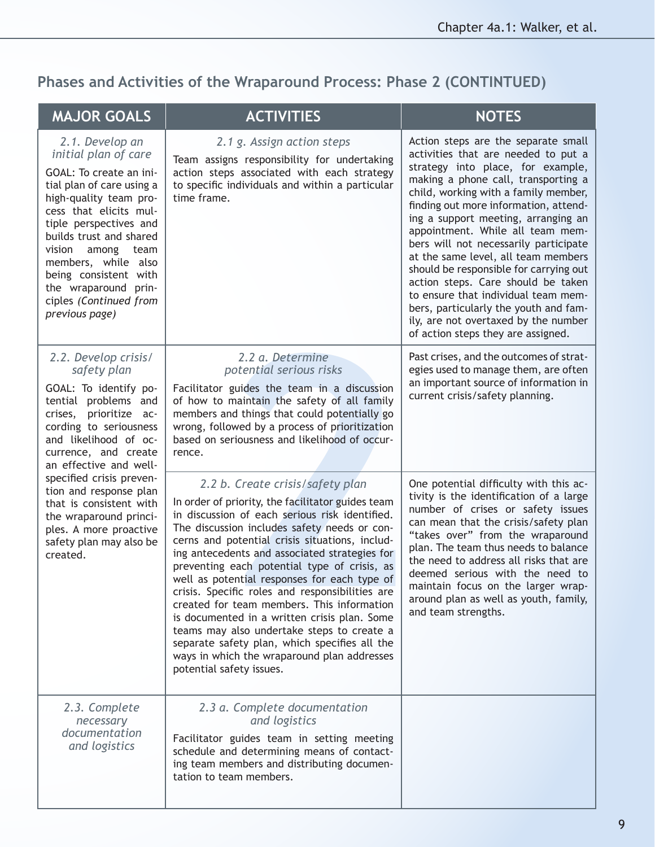## **Phases and Activities of the Wraparound Process: Phase 2 (CONTINTUED)**

| <b>MAJOR GOALS</b>                                                                                                                                                                                                                                                                                                                                                                              | <b>ACTIVITIES</b>                                                                                                                                                                                                                                                                                                                                                                                                                                                                                                                                                                                                                                                                                                     | <b>NOTES</b>                                                                                                                                                                                                                                                                                                                                                                                                                                                                                                                                                                                                                                     |
|-------------------------------------------------------------------------------------------------------------------------------------------------------------------------------------------------------------------------------------------------------------------------------------------------------------------------------------------------------------------------------------------------|-----------------------------------------------------------------------------------------------------------------------------------------------------------------------------------------------------------------------------------------------------------------------------------------------------------------------------------------------------------------------------------------------------------------------------------------------------------------------------------------------------------------------------------------------------------------------------------------------------------------------------------------------------------------------------------------------------------------------|--------------------------------------------------------------------------------------------------------------------------------------------------------------------------------------------------------------------------------------------------------------------------------------------------------------------------------------------------------------------------------------------------------------------------------------------------------------------------------------------------------------------------------------------------------------------------------------------------------------------------------------------------|
| 2.1. Develop an<br>initial plan of care<br>GOAL: To create an ini-<br>tial plan of care using a<br>high-quality team pro-<br>cess that elicits mul-<br>tiple perspectives and<br>builds trust and shared<br>vision<br>among team<br>members, while also<br>being consistent with<br>the wraparound prin-<br>ciples (Continued from<br>previous page)                                            | 2.1 g. Assign action steps<br>Team assigns responsibility for undertaking<br>action steps associated with each strategy<br>to specific individuals and within a particular<br>time frame.                                                                                                                                                                                                                                                                                                                                                                                                                                                                                                                             | Action steps are the separate small<br>activities that are needed to put a<br>strategy into place, for example,<br>making a phone call, transporting a<br>child, working with a family member,<br>finding out more information, attend-<br>ing a support meeting, arranging an<br>appointment. While all team mem-<br>bers will not necessarily participate<br>at the same level, all team members<br>should be responsible for carrying out<br>action steps. Care should be taken<br>to ensure that individual team mem-<br>bers, particularly the youth and fam-<br>ily, are not overtaxed by the number<br>of action steps they are assigned. |
| 2.2. Develop crisis/<br>safety plan<br>GOAL: To identify po-<br>tential problems and<br>crises, prioritize ac-<br>cording to seriousness<br>and likelihood of oc-<br>currence, and create<br>an effective and well-<br>specified crisis preven-<br>tion and response plan<br>that is consistent with<br>the wraparound princi-<br>ples. A more proactive<br>safety plan may also be<br>created. | 2.2 a. Determine<br>potential serious risks<br>Facilitator guides the team in a discussion<br>of how to maintain the safety of all family<br>members and things that could potentially go<br>wrong, followed by a process of prioritization<br>based on seriousness and likelihood of occur-<br>rence.                                                                                                                                                                                                                                                                                                                                                                                                                | Past crises, and the outcomes of strat-<br>egies used to manage them, are often<br>an important source of information in<br>current crisis/safety planning.                                                                                                                                                                                                                                                                                                                                                                                                                                                                                      |
|                                                                                                                                                                                                                                                                                                                                                                                                 | 2.2 b. Create crisis/safety plan<br>In order of priority, the facilitator guides team<br>in discussion of each serious risk identified.<br>The discussion includes safety needs or con-<br>cerns and potential crisis situations, includ-<br>ing antecedents and associated strategies for<br>preventing each potential type of crisis, as<br>well as potential responses for each type of<br>crisis. Specific roles and responsibilities are<br>created for team members. This information<br>is documented in a written crisis plan. Some<br>teams may also undertake steps to create a<br>separate safety plan, which specifies all the<br>ways in which the wraparound plan addresses<br>potential safety issues. | One potential difficulty with this ac-<br>tivity is the identification of a large<br>number of crises or safety issues<br>can mean that the crisis/safety plan<br>"takes over" from the wraparound<br>plan. The team thus needs to balance<br>the need to address all risks that are<br>deemed serious with the need to<br>maintain focus on the larger wrap-<br>around plan as well as youth, family,<br>and team strengths.                                                                                                                                                                                                                    |
| 2.3. Complete<br>necessary<br>documentation<br>and logistics                                                                                                                                                                                                                                                                                                                                    | 2.3 a. Complete documentation<br>and logistics<br>Facilitator guides team in setting meeting<br>schedule and determining means of contact-<br>ing team members and distributing documen-<br>tation to team members.                                                                                                                                                                                                                                                                                                                                                                                                                                                                                                   |                                                                                                                                                                                                                                                                                                                                                                                                                                                                                                                                                                                                                                                  |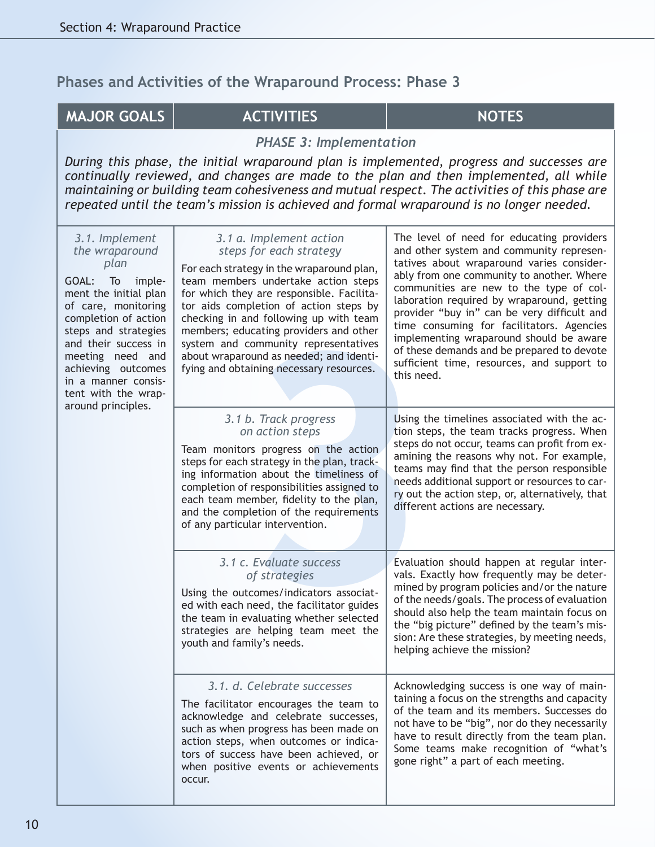### **MAJOR GOALS ACTIVITIES ACTIVITIES NOTES**

*PHASE 3: Implementation*

*During this phase, the initial wraparound plan is implemented, progress and successes are continually reviewed, and changes are made to the plan and then implemented, all while maintaining or building team cohesiveness and mutual respect. The activities of this phase are repeated until the team's mission is achieved and formal wraparound is no longer needed.*

| 3.1. Implement<br>the wraparound<br>plan<br>GOAL:<br>To<br>imple-<br>ment the initial plan<br>of care, monitoring<br>completion of action<br>steps and strategies<br>and their success in<br>meeting need and<br>achieving outcomes<br>in a manner consis-<br>tent with the wrap-<br>around principles. | 3.1 a. Implement action<br>steps for each strategy<br>For each strategy in the wraparound plan,<br>team members undertake action steps<br>for which they are responsible. Facilita-<br>tor aids completion of action steps by<br>checking in and following up with team<br>members; educating providers and other<br>system and community representatives<br>about wraparound as needed; and identi-<br>fying and obtaining necessary resources. | The level of need for educating providers<br>and other system and community represen-<br>tatives about wraparound varies consider-<br>ably from one community to another. Where<br>communities are new to the type of col-<br>laboration required by wraparound, getting<br>provider "buy in" can be very difficult and<br>time consuming for facilitators. Agencies<br>implementing wraparound should be aware<br>of these demands and be prepared to devote<br>sufficient time, resources, and support to<br>this need. |
|---------------------------------------------------------------------------------------------------------------------------------------------------------------------------------------------------------------------------------------------------------------------------------------------------------|--------------------------------------------------------------------------------------------------------------------------------------------------------------------------------------------------------------------------------------------------------------------------------------------------------------------------------------------------------------------------------------------------------------------------------------------------|---------------------------------------------------------------------------------------------------------------------------------------------------------------------------------------------------------------------------------------------------------------------------------------------------------------------------------------------------------------------------------------------------------------------------------------------------------------------------------------------------------------------------|
|                                                                                                                                                                                                                                                                                                         | 3.1 b. Track progress<br>on action steps<br>Team monitors progress on the action<br>steps for each strategy in the plan, track-<br>ing information about the timeliness of<br>completion of responsibilities assigned to<br>each team member, fidelity to the plan,<br>and the completion of the requirements<br>of any particular intervention.                                                                                                 | Using the timelines associated with the ac-<br>tion steps, the team tracks progress. When<br>steps do not occur, teams can profit from ex-<br>amining the reasons why not. For example,<br>teams may find that the person responsible<br>needs additional support or resources to car-<br>ry out the action step, or, alternatively, that<br>different actions are necessary.                                                                                                                                             |
|                                                                                                                                                                                                                                                                                                         | 3.1 c. Evaluate success<br>of strategies<br>Using the outcomes/indicators associat-<br>ed with each need, the facilitator guides<br>the team in evaluating whether selected<br>strategies are helping team meet the<br>youth and family's needs.                                                                                                                                                                                                 | Evaluation should happen at regular inter-<br>vals. Exactly how frequently may be deter-<br>mined by program policies and/or the nature<br>of the needs/goals. The process of evaluation<br>should also help the team maintain focus on<br>the "big picture" defined by the team's mis-<br>sion: Are these strategies, by meeting needs,<br>helping achieve the mission?                                                                                                                                                  |
|                                                                                                                                                                                                                                                                                                         | 3.1. d. Celebrate successes<br>The facilitator encourages the team to<br>acknowledge and celebrate successes,<br>such as when progress has been made on<br>action steps, when outcomes or indica-<br>tors of success have been achieved, or<br>when positive events or achievements<br>occur.                                                                                                                                                    | Acknowledging success is one way of main-<br>taining a focus on the strengths and capacity<br>of the team and its members. Successes do<br>not have to be "big", nor do they necessarily<br>have to result directly from the team plan.<br>Some teams make recognition of "what's<br>gone right" a part of each meeting.                                                                                                                                                                                                  |

10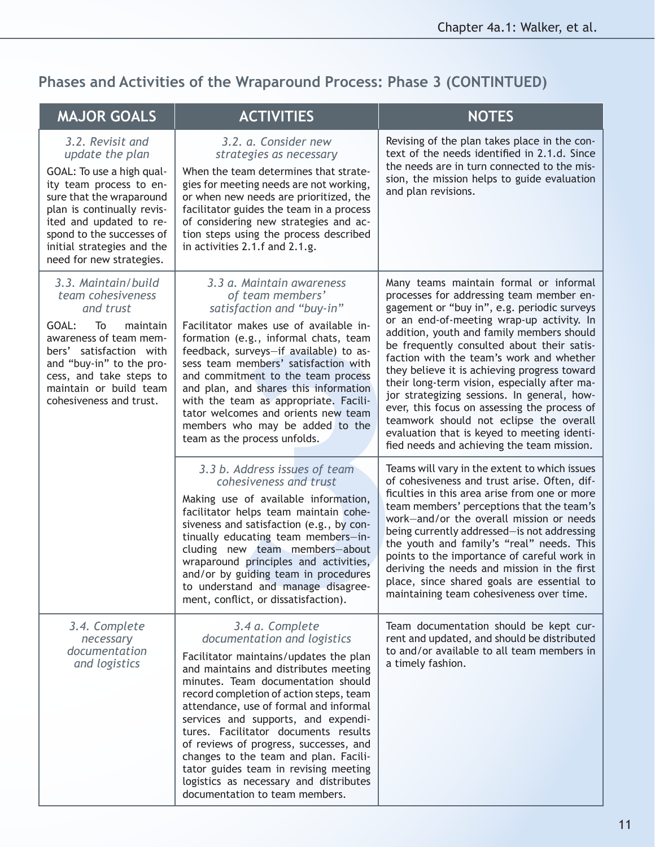## **Phases and Activities of the Wraparound Process: Phase 3 (CONTINTUED)**

| <b>MAJOR GOALS</b>                                                                                                                                                                                                                                                      | <b>ACTIVITIES</b>                                                                                                                                                                                                                                                                                                                                                                                                                                                                                                                                   | <b>NOTES</b>                                                                                                                                                                                                                                                                                                                                                                                                                                                                                                                                                                                                                                                 |
|-------------------------------------------------------------------------------------------------------------------------------------------------------------------------------------------------------------------------------------------------------------------------|-----------------------------------------------------------------------------------------------------------------------------------------------------------------------------------------------------------------------------------------------------------------------------------------------------------------------------------------------------------------------------------------------------------------------------------------------------------------------------------------------------------------------------------------------------|--------------------------------------------------------------------------------------------------------------------------------------------------------------------------------------------------------------------------------------------------------------------------------------------------------------------------------------------------------------------------------------------------------------------------------------------------------------------------------------------------------------------------------------------------------------------------------------------------------------------------------------------------------------|
| 3.2. Revisit and<br>update the plan<br>GOAL: To use a high qual-<br>ity team process to en-<br>sure that the wraparound<br>plan is continually revis-<br>ited and updated to re-<br>spond to the successes of<br>initial strategies and the<br>need for new strategies. | 3.2. a. Consider new<br>strategies as necessary<br>When the team determines that strate-<br>gies for meeting needs are not working,<br>or when new needs are prioritized, the<br>facilitator guides the team in a process<br>of considering new strategies and ac-<br>tion steps using the process described<br>in activities 2.1.f and 2.1.g.                                                                                                                                                                                                      | Revising of the plan takes place in the con-<br>text of the needs identified in 2.1.d. Since<br>the needs are in turn connected to the mis-<br>sion, the mission helps to guide evaluation<br>and plan revisions.                                                                                                                                                                                                                                                                                                                                                                                                                                            |
| 3.3. Maintain/build<br>team cohesiveness<br>and trust<br>GOAL:<br>To<br>maintain<br>awareness of team mem-<br>bers' satisfaction with<br>and "buy-in" to the pro-<br>cess, and take steps to<br>maintain or build team<br>cohesiveness and trust.                       | 3.3 a. Maintain awareness<br>of team members'<br>satisfaction and "buy-in"<br>Facilitator makes use of available in-<br>formation (e.g., informal chats, team<br>feedback, surveys-if available) to as-<br>sess team members' satisfaction with<br>and commitment to the team process<br>and plan, and shares this information<br>with the team as appropriate. Facili-<br>tator welcomes and orients new team<br>members who may be added to the<br>team as the process unfolds.                                                                   | Many teams maintain formal or informal<br>processes for addressing team member en-<br>gagement or "buy in", e.g. periodic surveys<br>or an end-of-meeting wrap-up activity. In<br>addition, youth and family members should<br>be frequently consulted about their satis-<br>faction with the team's work and whether<br>they believe it is achieving progress toward<br>their long-term vision, especially after ma-<br>jor strategizing sessions. In general, how-<br>ever, this focus on assessing the process of<br>teamwork should not eclipse the overall<br>evaluation that is keyed to meeting identi-<br>fied needs and achieving the team mission. |
|                                                                                                                                                                                                                                                                         | 3.3 b. Address issues of team<br>cohesiveness and trust<br>Making use of available information,<br>facilitator helps team maintain cohe-<br>siveness and satisfaction (e.g., by con-<br>tinually educating team members-in-<br>cluding new team members-about<br>wraparound principles and activities,<br>and/or by guiding team in procedures<br>to understand and manage disagree-<br>ment, conflict, or dissatisfaction).                                                                                                                        | Teams will vary in the extent to which issues<br>of cohesiveness and trust arise. Often, dif-<br>ficulties in this area arise from one or more<br>team members' perceptions that the team's<br>work-and/or the overall mission or needs<br>being currently addressed-is not addressing<br>the youth and family's "real" needs. This<br>points to the importance of careful work in<br>deriving the needs and mission in the first<br>place, since shared goals are essential to<br>maintaining team cohesiveness over time.                                                                                                                                  |
| 3.4. Complete<br>necessary<br>documentation<br>and logistics                                                                                                                                                                                                            | 3.4 a. Complete<br>documentation and logistics<br>Facilitator maintains/updates the plan<br>and maintains and distributes meeting<br>minutes. Team documentation should<br>record completion of action steps, team<br>attendance, use of formal and informal<br>services and supports, and expendi-<br>tures. Facilitator documents results<br>of reviews of progress, successes, and<br>changes to the team and plan. Facili-<br>tator guides team in revising meeting<br>logistics as necessary and distributes<br>documentation to team members. | Team documentation should be kept cur-<br>rent and updated, and should be distributed<br>to and/or available to all team members in<br>a timely fashion.                                                                                                                                                                                                                                                                                                                                                                                                                                                                                                     |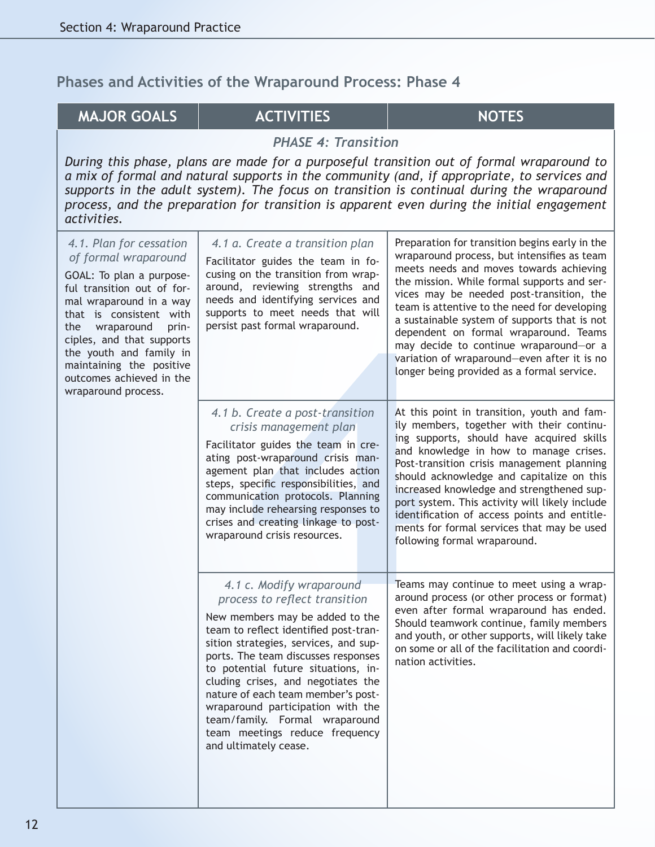#### **MAJOR GOALS**  $\vert$  **ACTIVITIES**  $\vert$  **NOTES**

Create a post-transition<br>
and the post-transition<br>
tor guides the team in cre-<br>
ost-wraparound crisis man-<br>
nost-wraparound crisis man-<br>
post-transition<br>
post-transition<br>
post-transition<br>
post-transition<br>
increases to the *PHASE 4: Transition During this phase, plans are made for a purposeful transition out of formal wraparound to a mix of formal and natural supports in the community (and, if appropriate, to services and supports in the adult system). The focus on transition is continual during the wraparound process, and the preparation for transition is apparent even during the initial engagement activities. 4.1. Plan for cessation of formal wraparound* GOAL: To plan a purposeful transition out of formal wraparound in a way that is consistent with the wraparound principles, and that supports the youth and family in maintaining the positive outcomes achieved in the wraparound process. *4.1 a. Create a transition plan* Facilitator guides the team in focusing on the transition from wraparound, reviewing strengths and needs and identifying services and supports to meet needs that will persist past formal wraparound. Preparation for transition begins early in the wraparound process, but intensifies as team meets needs and moves towards achieving the mission. While formal supports and services may be needed post-transition, the team is attentive to the need for developing a sustainable system of supports that is not dependent on formal wraparound. Teams may decide to continue wraparound—or a variation of wraparound—even after it is no longer being provided as a formal service. *4.1 b. Create a post-transition crisis management plan* Facilitator guides the team in creating post-wraparound crisis management plan that includes action steps, specific responsibilities, and communication protocols. Planning may include rehearsing responses to crises and creating linkage to postwraparound crisis resources. At this point in transition, youth and family members, together with their continuing supports, should have acquired skills and knowledge in how to manage crises. Post-transition crisis management planning should acknowledge and capitalize on this increased knowledge and strengthened support system. This activity will likely include identification of access points and entitlements for formal services that may be used following formal wraparound. *4.1 c. Modify wraparound process to reflect transition* New members may be added to the team to reflect identified post-transition strategies, services, and supports. The team discusses responses to potential future situations, including crises, and negotiates the nature of each team member's postwraparound participation with the team/family. Formal wraparound team meetings reduce frequency and ultimately cease. Teams may continue to meet using a wraparound process (or other process or format) even after formal wraparound has ended. Should teamwork continue, family members and youth, or other supports, will likely take on some or all of the facilitation and coordination activities.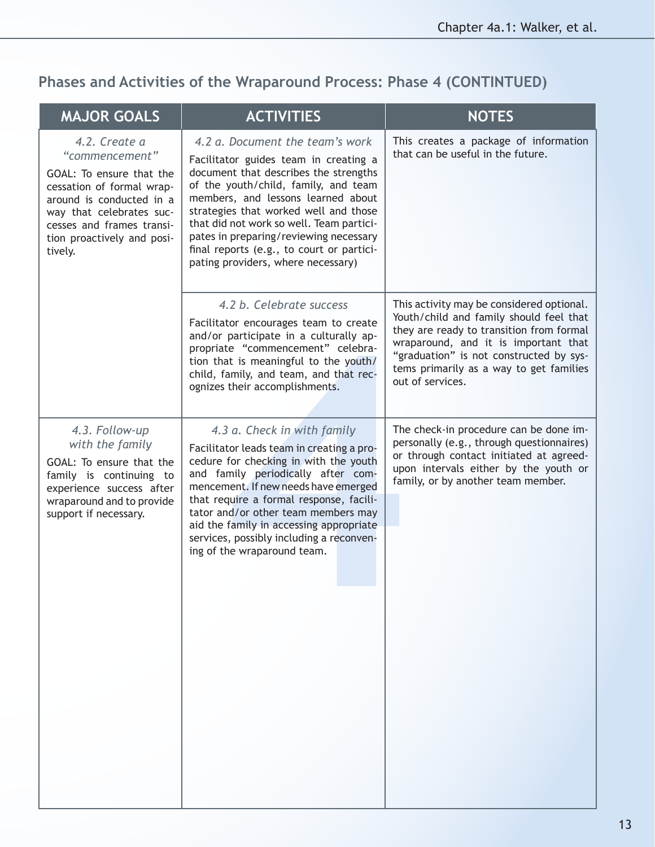## **Phases and Activities of the Wraparound Process: Phase 4 (CONTINTUED)**

| <b>MAJOR GOALS</b>                                                                                                                                                                                                     | <b>ACTIVITIES</b>                                                                                                                                                                                                                                                                                                                                                                                                 | <b>NOTES</b>                                                                                                                                                                                                                                                                       |
|------------------------------------------------------------------------------------------------------------------------------------------------------------------------------------------------------------------------|-------------------------------------------------------------------------------------------------------------------------------------------------------------------------------------------------------------------------------------------------------------------------------------------------------------------------------------------------------------------------------------------------------------------|------------------------------------------------------------------------------------------------------------------------------------------------------------------------------------------------------------------------------------------------------------------------------------|
| 4.2. Create a<br>"commencement"<br>GOAL: To ensure that the<br>cessation of formal wrap-<br>around is conducted in a<br>way that celebrates suc-<br>cesses and frames transi-<br>tion proactively and posi-<br>tively. | 4.2 a. Document the team's work<br>Facilitator guides team in creating a<br>document that describes the strengths<br>of the youth/child, family, and team<br>members, and lessons learned about<br>strategies that worked well and those<br>that did not work so well. Team partici-<br>pates in preparing/reviewing necessary<br>final reports (e.g., to court or partici-<br>pating providers, where necessary) | This creates a package of information<br>that can be useful in the future.                                                                                                                                                                                                         |
|                                                                                                                                                                                                                        | 4.2 b. Celebrate success<br>Facilitator encourages team to create<br>and/or participate in a culturally ap-<br>propriate "commencement" celebra-<br>tion that is meaningful to the youth/<br>child, family, and team, and that rec-<br>ognizes their accomplishments.                                                                                                                                             | This activity may be considered optional.<br>Youth/child and family should feel that<br>they are ready to transition from formal<br>wraparound, and it is important that<br>"graduation" is not constructed by sys-<br>tems primarily as a way to get families<br>out of services. |
| 4.3. Follow-up<br>with the family<br>GOAL: To ensure that the<br>family is continuing to<br>experience success after<br>wraparound and to provide<br>support if necessary.                                             | 4.3 a. Check in with family<br>Facilitator leads team in creating a pro-<br>cedure for checking in with the youth<br>and family periodically after com-<br>mencement. If new needs have emerged<br>that require a formal response, facili-<br>tator and/or other team members may<br>aid the family in accessing appropriate<br>services, possibly including a reconven-<br>ing of the wraparound team.           | The check-in procedure can be done im-<br>personally (e.g., through questionnaires)<br>or through contact initiated at agreed-<br>upon intervals either by the youth or<br>family, or by another team member.                                                                      |